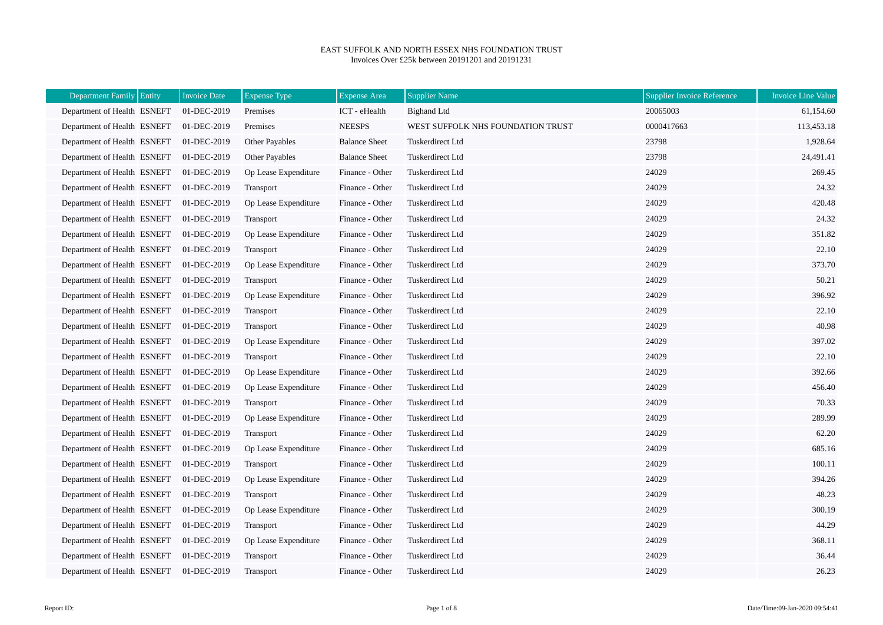## EAST SUFFOLK AND NORTH ESSEX NHS FOUNDATION TRUST Invoices Over £25k between 20191201 and 20191231

| Department Family Entity    | <b>Invoice Date</b> | <b>Expense Type</b>   | <b>Expense Area</b>  | <b>Supplier Name</b>              | <b>Supplier Invoice Reference</b> | <b>Invoice Line Value</b> |
|-----------------------------|---------------------|-----------------------|----------------------|-----------------------------------|-----------------------------------|---------------------------|
| Department of Health ESNEFT | 01-DEC-2019         | Premises              | ICT - eHealth        | <b>Bighand Ltd</b>                | 20065003                          | 61,154.60                 |
| Department of Health ESNEFT | 01-DEC-2019         | Premises              | <b>NEESPS</b>        | WEST SUFFOLK NHS FOUNDATION TRUST | 0000417663                        | 113,453.18                |
| Department of Health ESNEFT | 01-DEC-2019         | Other Payables        | <b>Balance Sheet</b> | Tuskerdirect Ltd                  | 23798                             | 1,928.64                  |
| Department of Health ESNEFT | 01-DEC-2019         | <b>Other Payables</b> | <b>Balance Sheet</b> | Tuskerdirect Ltd                  | 23798                             | 24,491.41                 |
| Department of Health ESNEFT | 01-DEC-2019         | Op Lease Expenditure  | Finance - Other      | Tuskerdirect Ltd                  | 24029                             | 269.45                    |
| Department of Health ESNEFT | 01-DEC-2019         | Transport             | Finance - Other      | Tuskerdirect Ltd                  | 24029                             | 24.32                     |
| Department of Health ESNEFT | 01-DEC-2019         | Op Lease Expenditure  | Finance - Other      | Tuskerdirect Ltd                  | 24029                             | 420.48                    |
| Department of Health ESNEFT | 01-DEC-2019         | Transport             | Finance - Other      | Tuskerdirect Ltd                  | 24029                             | 24.32                     |
| Department of Health ESNEFT | 01-DEC-2019         | Op Lease Expenditure  | Finance - Other      | Tuskerdirect Ltd                  | 24029                             | 351.82                    |
| Department of Health ESNEFT | 01-DEC-2019         | Transport             | Finance - Other      | Tuskerdirect Ltd                  | 24029                             | 22.10                     |
| Department of Health ESNEFT | 01-DEC-2019         | Op Lease Expenditure  | Finance - Other      | Tuskerdirect Ltd                  | 24029                             | 373.70                    |
| Department of Health ESNEFT | 01-DEC-2019         | Transport             | Finance - Other      | Tuskerdirect Ltd                  | 24029                             | 50.21                     |
| Department of Health ESNEFT | 01-DEC-2019         | Op Lease Expenditure  | Finance - Other      | Tuskerdirect Ltd                  | 24029                             | 396.92                    |
| Department of Health ESNEFT | 01-DEC-2019         | Transport             | Finance - Other      | Tuskerdirect Ltd                  | 24029                             | 22.10                     |
| Department of Health ESNEFT | 01-DEC-2019         | Transport             | Finance - Other      | Tuskerdirect Ltd                  | 24029                             | 40.98                     |
| Department of Health ESNEFT | 01-DEC-2019         | Op Lease Expenditure  | Finance - Other      | Tuskerdirect Ltd                  | 24029                             | 397.02                    |
| Department of Health ESNEFT | 01-DEC-2019         | Transport             | Finance - Other      | Tuskerdirect Ltd                  | 24029                             | 22.10                     |
| Department of Health ESNEFT | 01-DEC-2019         | Op Lease Expenditure  | Finance - Other      | Tuskerdirect Ltd                  | 24029                             | 392.66                    |
| Department of Health ESNEFT | 01-DEC-2019         | Op Lease Expenditure  | Finance - Other      | Tuskerdirect Ltd                  | 24029                             | 456.40                    |
| Department of Health ESNEFT | 01-DEC-2019         | Transport             | Finance - Other      | Tuskerdirect Ltd                  | 24029                             | 70.33                     |
| Department of Health ESNEFT | 01-DEC-2019         | Op Lease Expenditure  | Finance - Other      | Tuskerdirect Ltd                  | 24029                             | 289.99                    |
| Department of Health ESNEFT | 01-DEC-2019         | Transport             | Finance - Other      | Tuskerdirect Ltd                  | 24029                             | 62.20                     |
| Department of Health ESNEFT | 01-DEC-2019         | Op Lease Expenditure  | Finance - Other      | Tuskerdirect Ltd                  | 24029                             | 685.16                    |
| Department of Health ESNEFT | 01-DEC-2019         | Transport             | Finance - Other      | Tuskerdirect Ltd                  | 24029                             | 100.11                    |
| Department of Health ESNEFT | 01-DEC-2019         | Op Lease Expenditure  | Finance - Other      | Tuskerdirect Ltd                  | 24029                             | 394.26                    |
| Department of Health ESNEFT | 01-DEC-2019         | Transport             | Finance - Other      | Tuskerdirect Ltd                  | 24029                             | 48.23                     |
| Department of Health ESNEFT | 01-DEC-2019         | Op Lease Expenditure  | Finance - Other      | Tuskerdirect Ltd                  | 24029                             | 300.19                    |
| Department of Health ESNEFT | 01-DEC-2019         | Transport             | Finance - Other      | Tuskerdirect Ltd                  | 24029                             | 44.29                     |
| Department of Health ESNEFT | 01-DEC-2019         | Op Lease Expenditure  | Finance - Other      | Tuskerdirect Ltd                  | 24029                             | 368.11                    |
| Department of Health ESNEFT | 01-DEC-2019         | Transport             | Finance - Other      | Tuskerdirect Ltd                  | 24029                             | 36.44                     |
| Department of Health ESNEFT | 01-DEC-2019         | <b>Transport</b>      | Finance - Other      | Tuskerdirect Ltd                  | 24029                             | 26.23                     |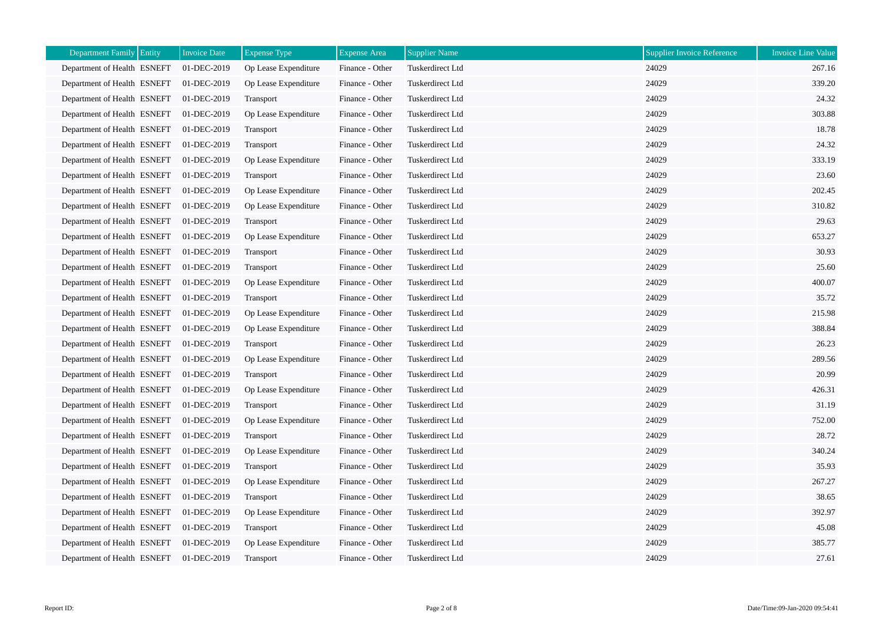| Department Family Entity    | <b>Invoice Date</b> | <b>Expense Type</b>  | <b>Expense Area</b> | Supplier Name    | <b>Supplier Invoice Reference</b> | <b>Invoice Line Value</b> |
|-----------------------------|---------------------|----------------------|---------------------|------------------|-----------------------------------|---------------------------|
| Department of Health ESNEFT | 01-DEC-2019         | Op Lease Expenditure | Finance - Other     | Tuskerdirect Ltd | 24029                             | 267.16                    |
| Department of Health ESNEFT | 01-DEC-2019         | Op Lease Expenditure | Finance - Other     | Tuskerdirect Ltd | 24029                             | 339.20                    |
| Department of Health ESNEFT | 01-DEC-2019         | Transport            | Finance - Other     | Tuskerdirect Ltd | 24029                             | 24.32                     |
| Department of Health ESNEFT | 01-DEC-2019         | Op Lease Expenditure | Finance - Other     | Tuskerdirect Ltd | 24029                             | 303.88                    |
| Department of Health ESNEFT | 01-DEC-2019         | Transport            | Finance - Other     | Tuskerdirect Ltd | 24029                             | 18.78                     |
| Department of Health ESNEFT | 01-DEC-2019         | Transport            | Finance - Other     | Tuskerdirect Ltd | 24029                             | 24.32                     |
| Department of Health ESNEFT | 01-DEC-2019         | Op Lease Expenditure | Finance - Other     | Tuskerdirect Ltd | 24029                             | 333.19                    |
| Department of Health ESNEFT | 01-DEC-2019         | Transport            | Finance - Other     | Tuskerdirect Ltd | 24029                             | 23.60                     |
| Department of Health ESNEFT | 01-DEC-2019         | Op Lease Expenditure | Finance - Other     | Tuskerdirect Ltd | 24029                             | 202.45                    |
| Department of Health ESNEFT | 01-DEC-2019         | Op Lease Expenditure | Finance - Other     | Tuskerdirect Ltd | 24029                             | 310.82                    |
| Department of Health ESNEFT | 01-DEC-2019         | Transport            | Finance - Other     | Tuskerdirect Ltd | 24029                             | 29.63                     |
| Department of Health ESNEFT | 01-DEC-2019         | Op Lease Expenditure | Finance - Other     | Tuskerdirect Ltd | 24029                             | 653.27                    |
| Department of Health ESNEFT | 01-DEC-2019         | <b>Transport</b>     | Finance - Other     | Tuskerdirect Ltd | 24029                             | 30.93                     |
| Department of Health ESNEFT | 01-DEC-2019         | Transport            | Finance - Other     | Tuskerdirect Ltd | 24029                             | 25.60                     |
| Department of Health ESNEFT | 01-DEC-2019         | Op Lease Expenditure | Finance - Other     | Tuskerdirect Ltd | 24029                             | 400.07                    |
| Department of Health ESNEFT | 01-DEC-2019         | Transport            | Finance - Other     | Tuskerdirect Ltd | 24029                             | 35.72                     |
| Department of Health ESNEFT | 01-DEC-2019         | Op Lease Expenditure | Finance - Other     | Tuskerdirect Ltd | 24029                             | 215.98                    |
| Department of Health ESNEFT | 01-DEC-2019         | Op Lease Expenditure | Finance - Other     | Tuskerdirect Ltd | 24029                             | 388.84                    |
| Department of Health ESNEFT | 01-DEC-2019         | Transport            | Finance - Other     | Tuskerdirect Ltd | 24029                             | 26.23                     |
| Department of Health ESNEFT | 01-DEC-2019         | Op Lease Expenditure | Finance - Other     | Tuskerdirect Ltd | 24029                             | 289.56                    |
| Department of Health ESNEFT | 01-DEC-2019         | Transport            | Finance - Other     | Tuskerdirect Ltd | 24029                             | 20.99                     |
| Department of Health ESNEFT | 01-DEC-2019         | Op Lease Expenditure | Finance - Other     | Tuskerdirect Ltd | 24029                             | 426.31                    |
| Department of Health ESNEFT | 01-DEC-2019         | Transport            | Finance - Other     | Tuskerdirect Ltd | 24029                             | 31.19                     |
| Department of Health ESNEFT | 01-DEC-2019         | Op Lease Expenditure | Finance - Other     | Tuskerdirect Ltd | 24029                             | 752.00                    |
| Department of Health ESNEFT | 01-DEC-2019         | Transport            | Finance - Other     | Tuskerdirect Ltd | 24029                             | 28.72                     |
| Department of Health ESNEFT | 01-DEC-2019         | Op Lease Expenditure | Finance - Other     | Tuskerdirect Ltd | 24029                             | 340.24                    |
| Department of Health ESNEFT | 01-DEC-2019         | Transport            | Finance - Other     | Tuskerdirect Ltd | 24029                             | 35.93                     |
| Department of Health ESNEFT | 01-DEC-2019         | Op Lease Expenditure | Finance - Other     | Tuskerdirect Ltd | 24029                             | 267.27                    |
| Department of Health ESNEFT | 01-DEC-2019         | Transport            | Finance - Other     | Tuskerdirect Ltd | 24029                             | 38.65                     |
| Department of Health ESNEFT | 01-DEC-2019         | Op Lease Expenditure | Finance - Other     | Tuskerdirect Ltd | 24029                             | 392.97                    |
| Department of Health ESNEFT | 01-DEC-2019         | Transport            | Finance - Other     | Tuskerdirect Ltd | 24029                             | 45.08                     |
| Department of Health ESNEFT | 01-DEC-2019         | Op Lease Expenditure | Finance - Other     | Tuskerdirect Ltd | 24029                             | 385.77                    |
| Department of Health ESNEFT | 01-DEC-2019         | Transport            | Finance - Other     | Tuskerdirect Ltd | 24029                             | 27.61                     |

h.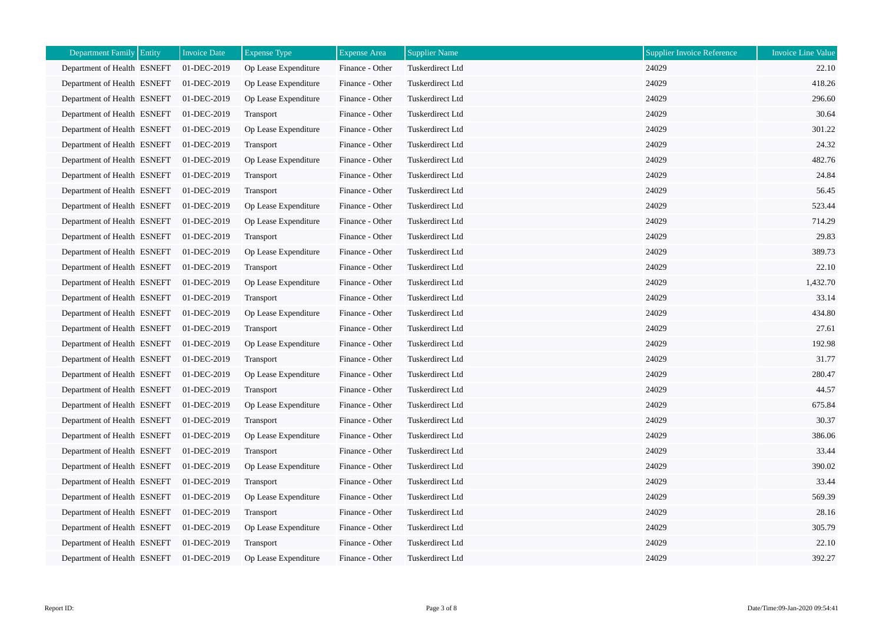| Department Family Entity    | <b>Invoice Date</b> | <b>Expense Type</b>  | <b>Expense Area</b> | <b>Supplier Name</b> | Supplier Invoice Reference | <b>Invoice Line Value</b> |
|-----------------------------|---------------------|----------------------|---------------------|----------------------|----------------------------|---------------------------|
| Department of Health ESNEFT | 01-DEC-2019         | Op Lease Expenditure | Finance - Other     | Tuskerdirect Ltd     | 24029                      | 22.10                     |
| Department of Health ESNEFT | 01-DEC-2019         | Op Lease Expenditure | Finance - Other     | Tuskerdirect Ltd     | 24029                      | 418.26                    |
| Department of Health ESNEFT | 01-DEC-2019         | Op Lease Expenditure | Finance - Other     | Tuskerdirect Ltd     | 24029                      | 296.60                    |
| Department of Health ESNEFT | 01-DEC-2019         | Transport            | Finance - Other     | Tuskerdirect Ltd     | 24029                      | 30.64                     |
| Department of Health ESNEFT | 01-DEC-2019         | Op Lease Expenditure | Finance - Other     | Tuskerdirect Ltd     | 24029                      | 301.22                    |
| Department of Health ESNEFT | 01-DEC-2019         | Transport            | Finance - Other     | Tuskerdirect Ltd     | 24029                      | 24.32                     |
| Department of Health ESNEFT | 01-DEC-2019         | Op Lease Expenditure | Finance - Other     | Tuskerdirect Ltd     | 24029                      | 482.76                    |
| Department of Health ESNEFT | 01-DEC-2019         | Transport            | Finance - Other     | Tuskerdirect Ltd     | 24029                      | 24.84                     |
| Department of Health ESNEFT | 01-DEC-2019         | <b>Transport</b>     | Finance - Other     | Tuskerdirect Ltd     | 24029                      | 56.45                     |
| Department of Health ESNEFT | 01-DEC-2019         | Op Lease Expenditure | Finance - Other     | Tuskerdirect Ltd     | 24029                      | 523.44                    |
| Department of Health ESNEFT | 01-DEC-2019         | Op Lease Expenditure | Finance - Other     | Tuskerdirect Ltd     | 24029                      | 714.29                    |
| Department of Health ESNEFT | 01-DEC-2019         | <b>Transport</b>     | Finance - Other     | Tuskerdirect Ltd     | 24029                      | 29.83                     |
| Department of Health ESNEFT | 01-DEC-2019         | Op Lease Expenditure | Finance - Other     | Tuskerdirect Ltd     | 24029                      | 389.73                    |
| Department of Health ESNEFT | 01-DEC-2019         | Transport            | Finance - Other     | Tuskerdirect Ltd     | 24029                      | 22.10                     |
| Department of Health ESNEFT | 01-DEC-2019         | Op Lease Expenditure | Finance - Other     | Tuskerdirect Ltd     | 24029                      | 1,432.70                  |
| Department of Health ESNEFT | 01-DEC-2019         | Transport            | Finance - Other     | Tuskerdirect Ltd     | 24029                      | 33.14                     |
| Department of Health ESNEFT | 01-DEC-2019         | Op Lease Expenditure | Finance - Other     | Tuskerdirect Ltd     | 24029                      | 434.80                    |
| Department of Health ESNEFT | 01-DEC-2019         | Transport            | Finance - Other     | Tuskerdirect Ltd     | 24029                      | 27.61                     |
| Department of Health ESNEFT | 01-DEC-2019         | Op Lease Expenditure | Finance - Other     | Tuskerdirect Ltd     | 24029                      | 192.98                    |
| Department of Health ESNEFT | 01-DEC-2019         | Transport            | Finance - Other     | Tuskerdirect Ltd     | 24029                      | 31.77                     |
| Department of Health ESNEFT | 01-DEC-2019         | Op Lease Expenditure | Finance - Other     | Tuskerdirect Ltd     | 24029                      | 280.47                    |
| Department of Health ESNEFT | 01-DEC-2019         | Transport            | Finance - Other     | Tuskerdirect Ltd     | 24029                      | 44.57                     |
| Department of Health ESNEFT | 01-DEC-2019         | Op Lease Expenditure | Finance - Other     | Tuskerdirect Ltd     | 24029                      | 675.84                    |
| Department of Health ESNEFT | 01-DEC-2019         | Transport            | Finance - Other     | Tuskerdirect Ltd     | 24029                      | 30.37                     |
| Department of Health ESNEFT | 01-DEC-2019         | Op Lease Expenditure | Finance - Other     | Tuskerdirect Ltd     | 24029                      | 386.06                    |
| Department of Health ESNEFT | 01-DEC-2019         | Transport            | Finance - Other     | Tuskerdirect Ltd     | 24029                      | 33.44                     |
| Department of Health ESNEFT | 01-DEC-2019         | Op Lease Expenditure | Finance - Other     | Tuskerdirect Ltd     | 24029                      | 390.02                    |
| Department of Health ESNEFT | 01-DEC-2019         | <b>Transport</b>     | Finance - Other     | Tuskerdirect Ltd     | 24029                      | 33.44                     |
| Department of Health ESNEFT | 01-DEC-2019         | Op Lease Expenditure | Finance - Other     | Tuskerdirect Ltd     | 24029                      | 569.39                    |
| Department of Health ESNEFT | 01-DEC-2019         | Transport            | Finance - Other     | Tuskerdirect Ltd     | 24029                      | 28.16                     |
| Department of Health ESNEFT | 01-DEC-2019         | Op Lease Expenditure | Finance - Other     | Tuskerdirect Ltd     | 24029                      | 305.79                    |
| Department of Health ESNEFT | 01-DEC-2019         | Transport            | Finance - Other     | Tuskerdirect Ltd     | 24029                      | 22.10                     |
| Department of Health ESNEFT | 01-DEC-2019         | Op Lease Expenditure | Finance - Other     | Tuskerdirect Ltd     | 24029                      | 392.27                    |

h.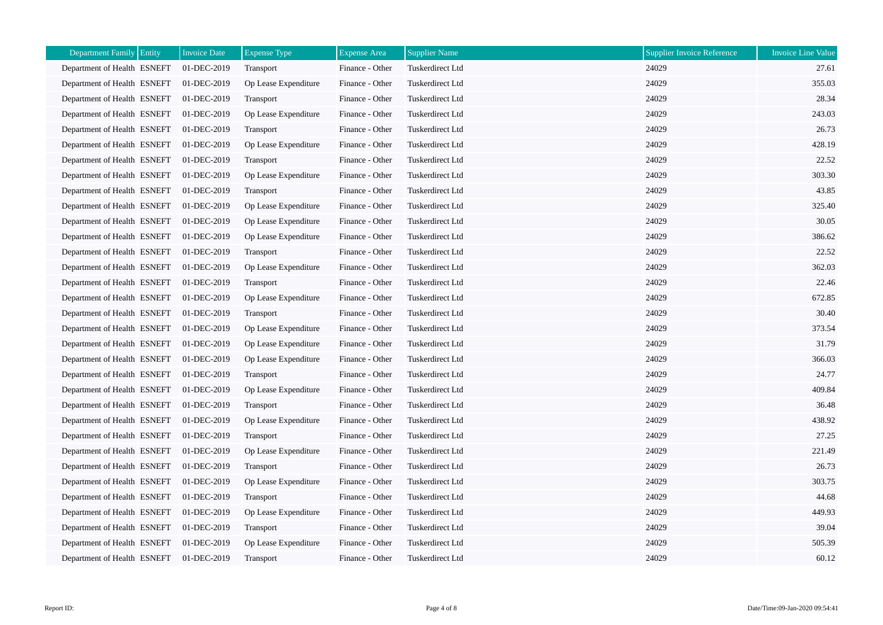| Department Family Entity    | <b>Invoice Date</b> | <b>Expense Type</b>  | <b>Expense Area</b> | <b>Supplier Name</b> | <b>Supplier Invoice Reference</b> | <b>Invoice Line Value</b> |
|-----------------------------|---------------------|----------------------|---------------------|----------------------|-----------------------------------|---------------------------|
| Department of Health ESNEFT | 01-DEC-2019         | Transport            | Finance - Other     | Tuskerdirect Ltd     | 24029                             | 27.61                     |
| Department of Health ESNEFT | 01-DEC-2019         | Op Lease Expenditure | Finance - Other     | Tuskerdirect Ltd     | 24029                             | 355.03                    |
| Department of Health ESNEFT | 01-DEC-2019         | <b>Transport</b>     | Finance - Other     | Tuskerdirect Ltd     | 24029                             | 28.34                     |
| Department of Health ESNEFT | 01-DEC-2019         | Op Lease Expenditure | Finance - Other     | Tuskerdirect Ltd     | 24029                             | 243.03                    |
| Department of Health ESNEFT | 01-DEC-2019         | Transport            | Finance - Other     | Tuskerdirect Ltd     | 24029                             | 26.73                     |
| Department of Health ESNEFT | 01-DEC-2019         | Op Lease Expenditure | Finance - Other     | Tuskerdirect Ltd     | 24029                             | 428.19                    |
| Department of Health ESNEFT | 01-DEC-2019         | Transport            | Finance - Other     | Tuskerdirect Ltd     | 24029                             | 22.52                     |
| Department of Health ESNEFT | 01-DEC-2019         | Op Lease Expenditure | Finance - Other     | Tuskerdirect Ltd     | 24029                             | 303.30                    |
| Department of Health ESNEFT | 01-DEC-2019         | Transport            | Finance - Other     | Tuskerdirect Ltd     | 24029                             | 43.85                     |
| Department of Health ESNEFT | 01-DEC-2019         | Op Lease Expenditure | Finance - Other     | Tuskerdirect Ltd     | 24029                             | 325.40                    |
| Department of Health ESNEFT | 01-DEC-2019         | Op Lease Expenditure | Finance - Other     | Tuskerdirect Ltd     | 24029                             | 30.05                     |
| Department of Health ESNEFT | 01-DEC-2019         | Op Lease Expenditure | Finance - Other     | Tuskerdirect Ltd     | 24029                             | 386.62                    |
| Department of Health ESNEFT | 01-DEC-2019         | Transport            | Finance - Other     | Tuskerdirect Ltd     | 24029                             | 22.52                     |
| Department of Health ESNEFT | 01-DEC-2019         | Op Lease Expenditure | Finance - Other     | Tuskerdirect Ltd     | 24029                             | 362.03                    |
| Department of Health ESNEFT | 01-DEC-2019         | Transport            | Finance - Other     | Tuskerdirect Ltd     | 24029                             | 22.46                     |
| Department of Health ESNEFT | 01-DEC-2019         | Op Lease Expenditure | Finance - Other     | Tuskerdirect Ltd     | 24029                             | 672.85                    |
| Department of Health ESNEFT | 01-DEC-2019         | Transport            | Finance - Other     | Tuskerdirect Ltd     | 24029                             | 30.40                     |
| Department of Health ESNEFT | 01-DEC-2019         | Op Lease Expenditure | Finance - Other     | Tuskerdirect Ltd     | 24029                             | 373.54                    |
| Department of Health ESNEFT | 01-DEC-2019         | Op Lease Expenditure | Finance - Other     | Tuskerdirect Ltd     | 24029                             | 31.79                     |
| Department of Health ESNEFT | 01-DEC-2019         | Op Lease Expenditure | Finance - Other     | Tuskerdirect Ltd     | 24029                             | 366.03                    |
| Department of Health ESNEFT | 01-DEC-2019         | <b>Transport</b>     | Finance - Other     | Tuskerdirect Ltd     | 24029                             | 24.77                     |
| Department of Health ESNEFT | 01-DEC-2019         | Op Lease Expenditure | Finance - Other     | Tuskerdirect Ltd     | 24029                             | 409.84                    |
| Department of Health ESNEFT | 01-DEC-2019         | Transport            | Finance - Other     | Tuskerdirect Ltd     | 24029                             | 36.48                     |
| Department of Health ESNEFT | 01-DEC-2019         | Op Lease Expenditure | Finance - Other     | Tuskerdirect Ltd     | 24029                             | 438.92                    |
| Department of Health ESNEFT | 01-DEC-2019         | Transport            | Finance - Other     | Tuskerdirect Ltd     | 24029                             | 27.25                     |
| Department of Health ESNEFT | 01-DEC-2019         | Op Lease Expenditure | Finance - Other     | Tuskerdirect Ltd     | 24029                             | 221.49                    |
| Department of Health ESNEFT | 01-DEC-2019         | Transport            | Finance - Other     | Tuskerdirect Ltd     | 24029                             | 26.73                     |
| Department of Health ESNEFT | 01-DEC-2019         | Op Lease Expenditure | Finance - Other     | Tuskerdirect Ltd     | 24029                             | 303.75                    |
| Department of Health ESNEFT | 01-DEC-2019         | Transport            | Finance - Other     | Tuskerdirect Ltd     | 24029                             | 44.68                     |
| Department of Health ESNEFT | 01-DEC-2019         | Op Lease Expenditure | Finance - Other     | Tuskerdirect Ltd     | 24029                             | 449.93                    |
| Department of Health ESNEFT | 01-DEC-2019         | Transport            | Finance - Other     | Tuskerdirect Ltd     | 24029                             | 39.04                     |
| Department of Health ESNEFT | 01-DEC-2019         | Op Lease Expenditure | Finance - Other     | Tuskerdirect Ltd     | 24029                             | 505.39                    |
| Department of Health ESNEFT | 01-DEC-2019         | Transport            | Finance - Other     | Tuskerdirect Ltd     | 24029                             | 60.12                     |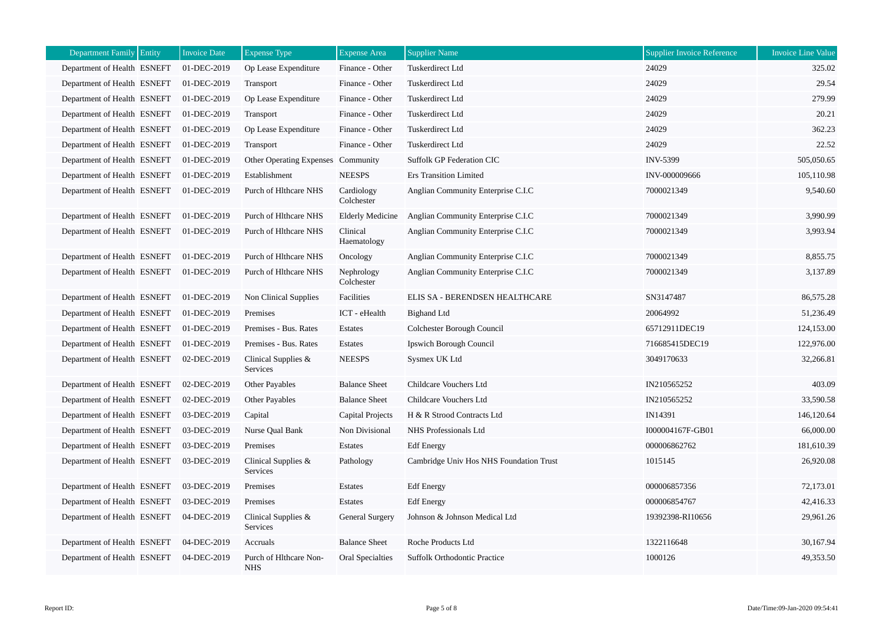| Department Family Entity    | <b>Invoice Date</b> | <b>Expense Type</b>                  | <b>Expense Area</b>      | <b>Supplier Name</b>                    | Supplier Invoice Reference | <b>Invoice Line Value</b> |
|-----------------------------|---------------------|--------------------------------------|--------------------------|-----------------------------------------|----------------------------|---------------------------|
| Department of Health ESNEFT | 01-DEC-2019         | Op Lease Expenditure                 | Finance - Other          | Tuskerdirect Ltd                        | 24029                      | 325.02                    |
| Department of Health ESNEFT | 01-DEC-2019         | Transport                            | Finance - Other          | Tuskerdirect Ltd                        | 24029                      | 29.54                     |
| Department of Health ESNEFT | 01-DEC-2019         | Op Lease Expenditure                 | Finance - Other          | Tuskerdirect Ltd                        | 24029                      | 279.99                    |
| Department of Health ESNEFT | 01-DEC-2019         | Transport                            | Finance - Other          | <b>Tuskerdirect Ltd</b>                 | 24029                      | 20.21                     |
| Department of Health ESNEFT | 01-DEC-2019         | Op Lease Expenditure                 | Finance - Other          | Tuskerdirect Ltd                        | 24029                      | 362.23                    |
| Department of Health ESNEFT | 01-DEC-2019         | Transport                            | Finance - Other          | Tuskerdirect Ltd                        | 24029                      | 22.52                     |
| Department of Health ESNEFT | 01-DEC-2019         | Other Operating Expenses Community   |                          | <b>Suffolk GP Federation CIC</b>        | <b>INV-5399</b>            | 505,050.65                |
| Department of Health ESNEFT | 01-DEC-2019         | Establishment                        | <b>NEESPS</b>            | <b>Ers Transition Limited</b>           | INV-000009666              | 105,110.98                |
| Department of Health ESNEFT | 01-DEC-2019         | Purch of Hlthcare NHS                | Cardiology<br>Colchester | Anglian Community Enterprise C.I.C      | 7000021349                 | 9,540.60                  |
| Department of Health ESNEFT | 01-DEC-2019         | Purch of Hlthcare NHS                | <b>Elderly Medicine</b>  | Anglian Community Enterprise C.I.C      | 7000021349                 | 3,990.99                  |
| Department of Health ESNEFT | 01-DEC-2019         | Purch of Hlthcare NHS                | Clinical<br>Haematology  | Anglian Community Enterprise C.I.C      | 7000021349                 | 3,993.94                  |
| Department of Health ESNEFT | 01-DEC-2019         | Purch of Hlthcare NHS                | Oncology                 | Anglian Community Enterprise C.I.C      | 7000021349                 | 8,855.75                  |
| Department of Health ESNEFT | 01-DEC-2019         | Purch of Hlthcare NHS                | Nephrology<br>Colchester | Anglian Community Enterprise C.I.C      | 7000021349                 | 3,137.89                  |
| Department of Health ESNEFT | 01-DEC-2019         | Non Clinical Supplies                | Facilities               | ELIS SA - BERENDSEN HEALTHCARE          | SN3147487                  | 86,575.28                 |
| Department of Health ESNEFT | 01-DEC-2019         | Premises                             | ICT - eHealth            | <b>Bighand Ltd</b>                      | 20064992                   | 51,236.49                 |
| Department of Health ESNEFT | 01-DEC-2019         | Premises - Bus. Rates                | Estates                  | Colchester Borough Council              | 65712911DEC19              | 124,153.00                |
| Department of Health ESNEFT | 01-DEC-2019         | Premises - Bus. Rates                | Estates                  | Ipswich Borough Council                 | 716685415DEC19             | 122,976.00                |
| Department of Health ESNEFT | 02-DEC-2019         | Clinical Supplies &<br>Services      | <b>NEESPS</b>            | Sysmex UK Ltd                           | 3049170633                 | 32,266.81                 |
| Department of Health ESNEFT | 02-DEC-2019         | Other Payables                       | <b>Balance Sheet</b>     | Childcare Vouchers Ltd                  | IN210565252                | 403.09                    |
| Department of Health ESNEFT | 02-DEC-2019         | Other Payables                       | <b>Balance Sheet</b>     | Childcare Vouchers Ltd                  | IN210565252                | 33,590.58                 |
| Department of Health ESNEFT | 03-DEC-2019         | Capital                              | Capital Projects         | H & R Strood Contracts Ltd              | IN14391                    | 146,120.64                |
| Department of Health ESNEFT | 03-DEC-2019         | Nurse Qual Bank                      | Non Divisional           | NHS Professionals Ltd                   | I000004167F-GB01           | 66,000.00                 |
| Department of Health ESNEFT | 03-DEC-2019         | Premises                             | Estates                  | <b>Edf</b> Energy                       | 000006862762               | 181,610.39                |
| Department of Health ESNEFT | 03-DEC-2019         | Clinical Supplies $&$<br>Services    | Pathology                | Cambridge Univ Hos NHS Foundation Trust | 1015145                    | 26,920.08                 |
| Department of Health ESNEFT | 03-DEC-2019         | Premises                             | Estates                  | <b>Edf</b> Energy                       | 000006857356               | 72,173.01                 |
| Department of Health ESNEFT | 03-DEC-2019         | Premises                             | Estates                  | <b>Edf</b> Energy                       | 000006854767               | 42,416.33                 |
| Department of Health ESNEFT | 04-DEC-2019         | Clinical Supplies &<br>Services      | General Surgery          | Johnson & Johnson Medical Ltd           | 19392398-RI10656           | 29,961.26                 |
| Department of Health ESNEFT | 04-DEC-2019         | Accruals                             | <b>Balance Sheet</b>     | Roche Products Ltd                      | 1322116648                 | 30,167.94                 |
| Department of Health ESNEFT | 04-DEC-2019         | Purch of Hlthcare Non-<br><b>NHS</b> | Oral Specialties         | <b>Suffolk Orthodontic Practice</b>     | 1000126                    | 49,353.50                 |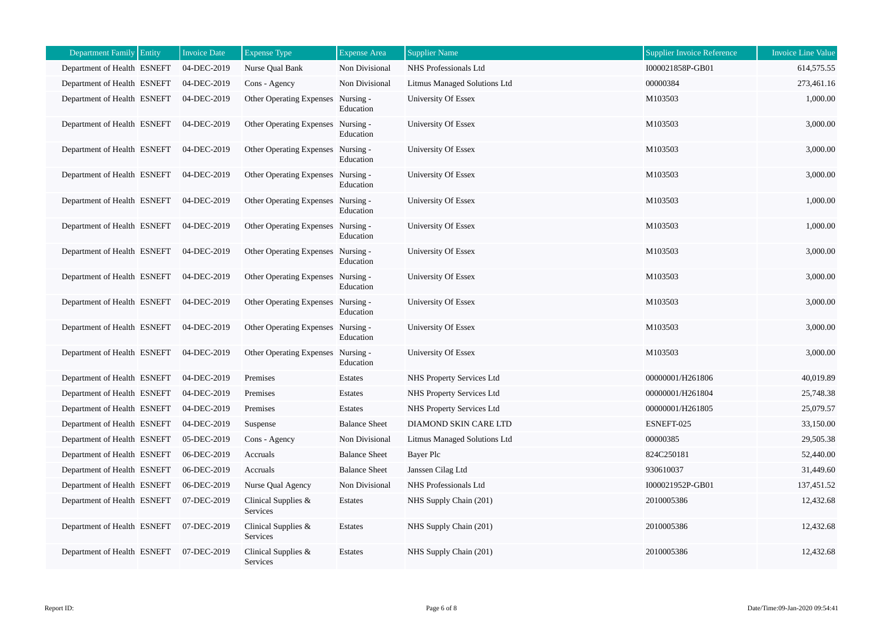| <b>Department Family</b>    | Entity | <b>Invoice Date</b> | <b>Expense Type</b>                | <b>Expense Area</b>    | <b>Supplier Name</b>         | <b>Supplier Invoice Reference</b> | <b>Invoice Line Value</b> |
|-----------------------------|--------|---------------------|------------------------------------|------------------------|------------------------------|-----------------------------------|---------------------------|
| Department of Health ESNEFT |        | 04-DEC-2019         | Nurse Qual Bank                    | Non Divisional         | NHS Professionals Ltd        | I000021858P-GB01                  | 614,575.55                |
| Department of Health ESNEFT |        | 04-DEC-2019         | Cons - Agency                      | Non Divisional         | Litmus Managed Solutions Ltd | 00000384                          | 273,461.16                |
| Department of Health ESNEFT |        | 04-DEC-2019         | <b>Other Operating Expenses</b>    | Nursing -<br>Education | University Of Essex          | M103503                           | 1,000.00                  |
| Department of Health ESNEFT |        | 04-DEC-2019         | Other Operating Expenses Nursing - | Education              | University Of Essex          | M103503                           | 3,000.00                  |
| Department of Health ESNEFT |        | 04-DEC-2019         | Other Operating Expenses Nursing - | Education              | University Of Essex          | M103503                           | 3,000.00                  |
| Department of Health ESNEFT |        | 04-DEC-2019         | Other Operating Expenses Nursing - | Education              | University Of Essex          | M103503                           | 3,000.00                  |
| Department of Health ESNEFT |        | 04-DEC-2019         | Other Operating Expenses           | Nursing -<br>Education | <b>University Of Essex</b>   | M103503                           | 1,000.00                  |
| Department of Health ESNEFT |        | 04-DEC-2019         | <b>Other Operating Expenses</b>    | Nursing -<br>Education | <b>University Of Essex</b>   | M103503                           | 1,000.00                  |
| Department of Health ESNEFT |        | 04-DEC-2019         | Other Operating Expenses Nursing - | Education              | University Of Essex          | M103503                           | 3,000.00                  |
| Department of Health ESNEFT |        | 04-DEC-2019         | Other Operating Expenses Nursing - | Education              | <b>University Of Essex</b>   | M103503                           | 3,000.00                  |
| Department of Health ESNEFT |        | 04-DEC-2019         | <b>Other Operating Expenses</b>    | Nursing -<br>Education | University Of Essex          | M103503                           | 3,000.00                  |
| Department of Health ESNEFT |        | 04-DEC-2019         | Other Operating Expenses Nursing - | Education              | University Of Essex          | M103503                           | 3,000.00                  |
| Department of Health ESNEFT |        | 04-DEC-2019         | <b>Other Operating Expenses</b>    | Nursing -<br>Education | University Of Essex          | M103503                           | 3,000.00                  |
| Department of Health ESNEFT |        | 04-DEC-2019         | Premises                           | Estates                | NHS Property Services Ltd    | 00000001/H261806                  | 40,019.89                 |
| Department of Health ESNEFT |        | 04-DEC-2019         | Premises                           | Estates                | NHS Property Services Ltd    | 00000001/H261804                  | 25,748.38                 |
| Department of Health ESNEFT |        | 04-DEC-2019         | Premises                           | Estates                | NHS Property Services Ltd    | 00000001/H261805                  | 25,079.57                 |
| Department of Health ESNEFT |        | 04-DEC-2019         | Suspense                           | <b>Balance Sheet</b>   | DIAMOND SKIN CARE LTD        | ESNEFT-025                        | 33,150.00                 |
| Department of Health ESNEFT |        | 05-DEC-2019         | Cons - Agency                      | Non Divisional         | Litmus Managed Solutions Ltd | 00000385                          | 29,505.38                 |
| Department of Health ESNEFT |        | 06-DEC-2019         | Accruals                           | <b>Balance Sheet</b>   | Bayer Plc                    | 824C250181                        | 52,440.00                 |
| Department of Health ESNEFT |        | 06-DEC-2019         | Accruals                           | <b>Balance Sheet</b>   | Janssen Cilag Ltd            | 930610037                         | 31,449.60                 |
| Department of Health ESNEFT |        | 06-DEC-2019         | Nurse Qual Agency                  | Non Divisional         | NHS Professionals Ltd        | I000021952P-GB01                  | 137,451.52                |
| Department of Health ESNEFT |        | 07-DEC-2019         | Clinical Supplies $\&$<br>Services | Estates                | NHS Supply Chain (201)       | 2010005386                        | 12,432.68                 |
| Department of Health ESNEFT |        | 07-DEC-2019         | Clinical Supplies &<br>Services    | Estates                | NHS Supply Chain (201)       | 2010005386                        | 12,432.68                 |
| Department of Health ESNEFT |        | 07-DEC-2019         | Clinical Supplies $&$<br>Services  | Estates                | NHS Supply Chain (201)       | 2010005386                        | 12,432.68                 |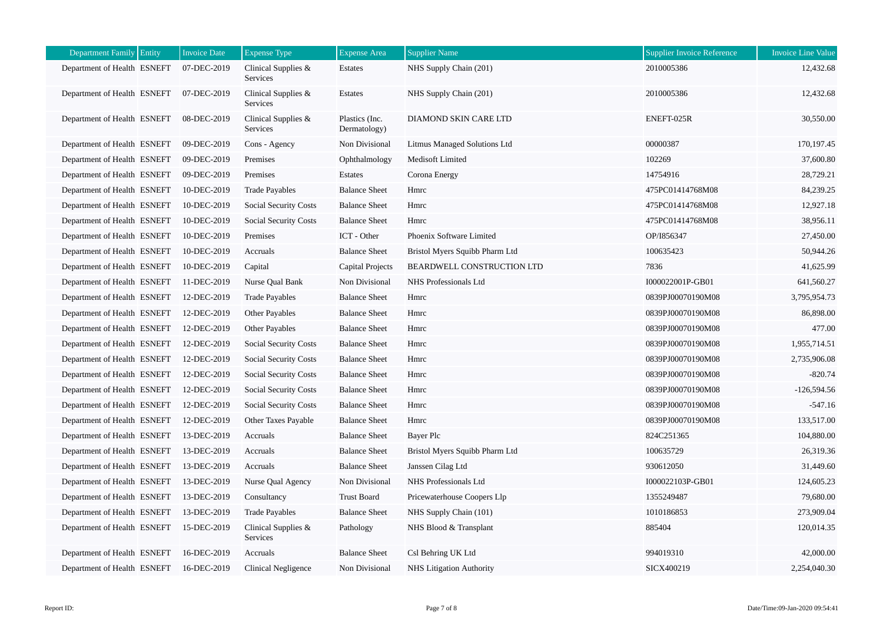| Department Family Entity    | <b>Invoice Date</b> | <b>Expense Type</b>             | <b>Expense Area</b>            | <b>Supplier Name</b>            | Supplier Invoice Reference | <b>Invoice Line Value</b> |
|-----------------------------|---------------------|---------------------------------|--------------------------------|---------------------------------|----------------------------|---------------------------|
| Department of Health ESNEFT | 07-DEC-2019         | Clinical Supplies &<br>Services | Estates                        | NHS Supply Chain (201)          | 2010005386                 | 12,432.68                 |
| Department of Health ESNEFT | 07-DEC-2019         | Clinical Supplies &<br>Services | Estates                        | NHS Supply Chain (201)          | 2010005386                 | 12,432.68                 |
| Department of Health ESNEFT | 08-DEC-2019         | Clinical Supplies &<br>Services | Plastics (Inc.<br>Dermatology) | DIAMOND SKIN CARE LTD           | ENEFT-025R                 | 30,550.00                 |
| Department of Health ESNEFT | 09-DEC-2019         | Cons - Agency                   | Non Divisional                 | Litmus Managed Solutions Ltd    | 00000387                   | 170,197.45                |
| Department of Health ESNEFT | 09-DEC-2019         | Premises                        | Ophthalmology                  | Medisoft Limited                | 102269                     | 37,600.80                 |
| Department of Health ESNEFT | 09-DEC-2019         | Premises                        | Estates                        | Corona Energy                   | 14754916                   | 28,729.21                 |
| Department of Health ESNEFT | 10-DEC-2019         | <b>Trade Payables</b>           | <b>Balance Sheet</b>           | Hmrc                            | 475PC01414768M08           | 84,239.25                 |
| Department of Health ESNEFT | 10-DEC-2019         | Social Security Costs           | <b>Balance Sheet</b>           | Hmrc                            | 475PC01414768M08           | 12,927.18                 |
| Department of Health ESNEFT | 10-DEC-2019         | Social Security Costs           | <b>Balance Sheet</b>           | Hmrc                            | 475PC01414768M08           | 38,956.11                 |
| Department of Health ESNEFT | 10-DEC-2019         | Premises                        | ICT - Other                    | Phoenix Software Limited        | OP/I856347                 | 27,450.00                 |
| Department of Health ESNEFT | 10-DEC-2019         | Accruals                        | <b>Balance Sheet</b>           | Bristol Myers Squibb Pharm Ltd  | 100635423                  | 50,944.26                 |
| Department of Health ESNEFT | 10-DEC-2019         | Capital                         | Capital Projects               | BEARDWELL CONSTRUCTION LTD      | 7836                       | 41,625.99                 |
| Department of Health ESNEFT | 11-DEC-2019         | Nurse Qual Bank                 | Non Divisional                 | NHS Professionals Ltd           | I000022001P-GB01           | 641,560.27                |
| Department of Health ESNEFT | 12-DEC-2019         | <b>Trade Payables</b>           | <b>Balance Sheet</b>           | Hmrc                            | 0839PJ00070190M08          | 3,795,954.73              |
| Department of Health ESNEFT | 12-DEC-2019         | Other Payables                  | <b>Balance Sheet</b>           | Hmrc                            | 0839PJ00070190M08          | 86,898.00                 |
| Department of Health ESNEFT | 12-DEC-2019         | Other Payables                  | <b>Balance Sheet</b>           | Hmrc                            | 0839PJ00070190M08          | 477.00                    |
| Department of Health ESNEFT | 12-DEC-2019         | Social Security Costs           | <b>Balance Sheet</b>           | Hmrc                            | 0839PJ00070190M08          | 1,955,714.51              |
| Department of Health ESNEFT | 12-DEC-2019         | Social Security Costs           | <b>Balance Sheet</b>           | Hmrc                            | 0839PJ00070190M08          | 2,735,906.08              |
| Department of Health ESNEFT | 12-DEC-2019         | Social Security Costs           | <b>Balance Sheet</b>           | Hmrc                            | 0839PJ00070190M08          | $-820.74$                 |
| Department of Health ESNEFT | 12-DEC-2019         | Social Security Costs           | <b>Balance Sheet</b>           | Hmrc                            | 0839PJ00070190M08          | $-126,594.56$             |
| Department of Health ESNEFT | 12-DEC-2019         | Social Security Costs           | <b>Balance Sheet</b>           | Hmrc                            | 0839PJ00070190M08          | $-547.16$                 |
| Department of Health ESNEFT | 12-DEC-2019         | Other Taxes Payable             | <b>Balance Sheet</b>           | Hmrc                            | 0839PJ00070190M08          | 133,517.00                |
| Department of Health ESNEFT | 13-DEC-2019         | Accruals                        | <b>Balance Sheet</b>           | Bayer Plc                       | 824C251365                 | 104,880.00                |
| Department of Health ESNEFT | 13-DEC-2019         | Accruals                        | <b>Balance Sheet</b>           | Bristol Myers Squibb Pharm Ltd  | 100635729                  | 26,319.36                 |
| Department of Health ESNEFT | 13-DEC-2019         | Accruals                        | <b>Balance Sheet</b>           | Janssen Cilag Ltd               | 930612050                  | 31,449.60                 |
| Department of Health ESNEFT | 13-DEC-2019         | Nurse Qual Agency               | Non Divisional                 | NHS Professionals Ltd           | I000022103P-GB01           | 124,605.23                |
| Department of Health ESNEFT | 13-DEC-2019         | Consultancy                     | <b>Trust Board</b>             | Pricewaterhouse Coopers Llp     | 1355249487                 | 79,680.00                 |
| Department of Health ESNEFT | 13-DEC-2019         | <b>Trade Payables</b>           | <b>Balance Sheet</b>           | NHS Supply Chain (101)          | 1010186853                 | 273,909.04                |
| Department of Health ESNEFT | 15-DEC-2019         | Clinical Supplies &<br>Services | Pathology                      | NHS Blood & Transplant          | 885404                     | 120,014.35                |
| Department of Health ESNEFT | 16-DEC-2019         | Accruals                        | <b>Balance Sheet</b>           | Csl Behring UK Ltd              | 994019310                  | 42,000.00                 |
| Department of Health ESNEFT | 16-DEC-2019         | Clinical Negligence             | Non Divisional                 | <b>NHS</b> Litigation Authority | SICX400219                 | 2,254,040.30              |